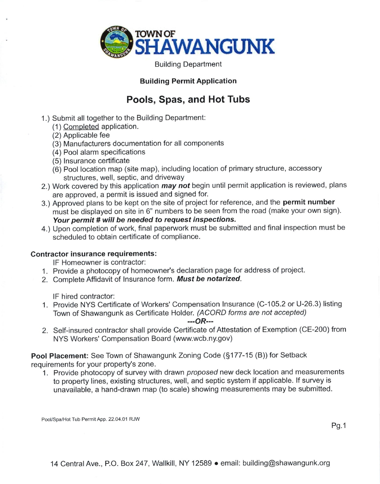

Building Department

## Building Permit Application

## Pools, Spas, and Hot Tubs

- 1.) Submit all together to the Building Department:
	- (1) Completed application.
	- (2) Applicable fee
	- (3) Manufacturers documentation for all components
	- (4) Pool alarm specifications
	- (5) lnsurance certificate
	- (6) Pool location map (site map), including location of primary structure, accessory structures, well, septic, and driveway
- 2.) Work covered by this application *may not* begin until permit application is reviewed, plans are approved, a permit is issued and signed for.
- 3.) Approved plans to be kept on the site of project for reference, and the permit number must be displayed on site in 6" numbers to be seen from the road (make your own sign). Your permit # will be needed to request inspections.
- 4.) Upon completion of work, final paperwork must be submitted and final inspection must be scheduled to obtain certificate of compliance.

## Contractor insurance requirements:

lF Homeowner is contractor:

- 1. Provide a photocopy of homeowner's declaration page for address of project.
- 2. Complete Affidavit of Insurance form. Must be notarized.

lF hired contractor:

1. Provide NYS Certificate of Workers' Compensation lnsurance (C-105.2 or U-26.3) listing Town of Shawangunk as Certificate Holder. (ACORD forms are not accepted)

 $-$ - $OR$ ---

2. Self-insured contractor shall provide Certificate of Attestation of Exemption (CE-200) from NYS Workers' Compensation Board (www.wcb.ny.gov)

Pool Placement: See Town of Shawangunk Zoning Code (\$177-15 (B)) for Setback requirements for your property's zone.

1. Provide photocopy of survey with drawn proposed new deck location and measurements to property lines, existing structures, well, and septic system if applicable. lf survey is unavailable, a hand-drawn map (to scale) showing measurements may be submitted.

Pool/Spa/Hot Tub Permit App. 22.04.01 RJW